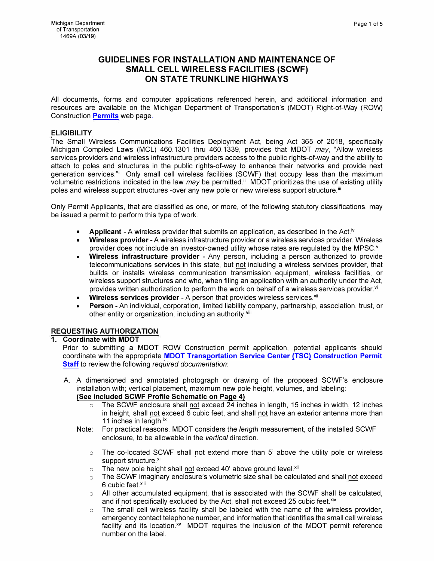# **GUIDELINES FOR INSTALLATION AND MAINTENANCE OF SMALL CELL WIRELESS FACILITIES (SCWF) ON STATE TRUNKLINE HIGHWAYS**

All documents, forms and computer applications referenced herein, and additional information and resources are available on the Michigan Department of Transportation's (MOOT) Right-of-Way (ROW) Construction **Permits** web page.

#### **ELIGIBILITY**

The Small Wireless Communications Facilities Deployment Act, being Act 365 of 2018, specifically Michigan Compiled Laws (MCL) 460.1301 thru 460.1339, provides that MOOT *may,* "Allow wireless services providers and wireless infrastructure providers access to the public rights-of-way and the ability to attach to poles and structures in the public rights-of-way to enhance their networks and provide next generation services."i Only small cell wireless facilities (SCWF) that occupy less than the maximum volumetric restrictions indicated in the law *may* be permitted.<sup>ii</sup> MDOT prioritizes the use of existing utility poles and wireless support structures -over any new pole or new wireless support structure.<sup>iii</sup>

Only Permit Applicants, that are classified as one, or more, of the following statutory classifications, may be issued a permit to perform this type of work.

- **Applicant** A wireless provider that submits an application, as described in the Act.<sup>iv</sup>
- **Wireless provider** -A wireless infrastructure provider or a wireless services provider. Wireless provider does not include an investor-owned utility whose rates are regulated by the MPSC.<sup>v</sup>
- **Wireless infrastructure provider**  Any person, including a person authorized to provide telecommunications services in this state, but not including a wireless services provider, that builds or installs wireless communication transmission equipment, wireless facilities, or wireless support structures and who, when filing an application with an authority under the Act, provides written authorization to perform the work on behalf of a wireless services provider.<sup>vi</sup>
- **Wireless services provider** A person that provides wireless services.<sup>vii</sup>
- **Person** -An individual, corporation, limited liability company, partnership, association, trust, or other entity or organization, including an authority.<sup>viii</sup>

## **REQUESTING AUTHORIZATION**

#### **1. Coordinate with MDOT**

- Prior to submitting a MOOT ROW Construction permit application, potential applicants should coordinate with the appropriate **MDOT Transportation Service Center (TSC) Construction Permit Staff** to review the following *required documentation:*
- A. A dimensioned and annotated photograph or drawing of the proposed SCWF's enclosure installation with; vertical placement, maximum new pole height, volumes, and labeling: **(See included SCWF Profile Schematic on Page 4)** 
	- $\circ$  The SCWF enclosure shall not exceed 24 inches in length, 15 inches in width, 12 inches in height, shall not exceed 6 cubic feet, and shall not have an exterior antenna more than 11 inches in length. $\frac{ix}{x}$
	- Note: For practical reasons, MOOT considers the *length* measurement, of the installed SCWF enclosure, to be allowable in the *vertical* direction.
		- $\circ$  The co-located SCWF shall not extend more than 5' above the utility pole or wireless support structure.xi
		- $\circ$  The new pole height shall not exceed 40' above ground level.<sup>xii</sup>
		- $\circ$  The SCWF imaginary enclosure's volumetric size shall be calculated and shall not exceed 6 cubic feet.<sup>xiii</sup>
		- $\circ$  All other accumulated equipment, that is associated with the SCWF shall be calculated, and if not specifically excluded by the Act, shall not exceed 25 cubic feet.<sup>xiv</sup>
		- $\circ$  The small cell wireless facility shall be labeled with the name of the wireless provider, emergency contact telephone number, and information that identifies the small cell wireless facility and its location.<sup>xv</sup> MDOT requires the inclusion of the MDOT permit reference number on the label.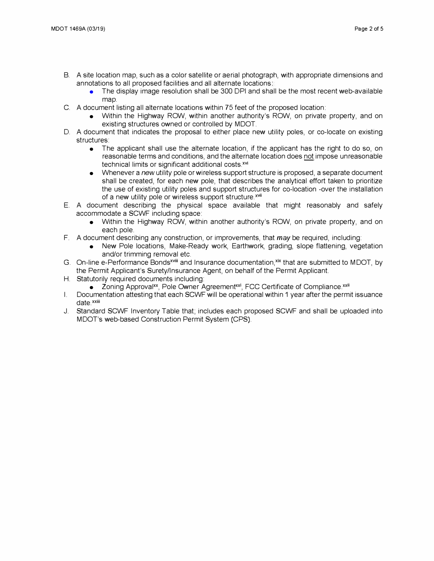- B. A site location map, such as a color satellite or aerial photograph, with appropriate dimensions and annotations to all proposed facilities and all alternate locations
	- The display image resolution shall be 300 DPI and shall be the most recent web-available map
- C. A document listing all alternate locations within 75 feet of the proposed location:
	- Within the Highway ROW, within another authority's ROW, on private property, and on existing structures owned or controlled by MOOT.
- D. A document that indicates the proposal to either place new utility poles, or co-locate on existing structures:
	- The applicant shall use the alternate location, if the applicant has the right to do so, on reasonable terms and conditions, and the alternate location does not impose unreasonable technical limits or significant additional costs.<sup>xvi</sup>
	- o Whenever a *new* utility pole or wireless support structure is proposed, a separate document shall be created, for each new pole, that describes the analytical effort taken to prioritize the use of existing utility poles and support structures for co-location -over the installation of a new utility pole or wireless support structure.<sup>xvii</sup>
- E. A document describing the physical space available that might reasonably and safely accommodate a SCWF including space:
	- Within the Highway ROW, within another authority's ROW, on private property, and on each pole.
- F. A document describing any construction, or improvements, that *may* be required, including:
	- New Pole locations, Make-Ready work, Earthwork, grading, slope flattening, vegetation and/or trimming removal etc.
- G. On-line e-Performance Bonds<sup>xviii</sup> and Insurance documentation,<sup>xix</sup> that are submitted to MDOT, by the Permit Applicant's Surety/Insurance Agent, on behalf of the Permit Applicant.
- H. Statutorily required documents including:
	- Zoning Approval<sup>xx</sup>, Pole Owner Agreement<sup>xxi</sup>, FCC Certificate of Compliance.<sup>xxii</sup>
- I. Documentation attesting that each SCWF will be operational within 1 year after the permit issuance date.<sup>xxiii</sup>
- J. Standard SCWF Inventory Table that; includes each proposed SCWF and shall be uploaded into MDOT's web-based Construction Permit System (CPS).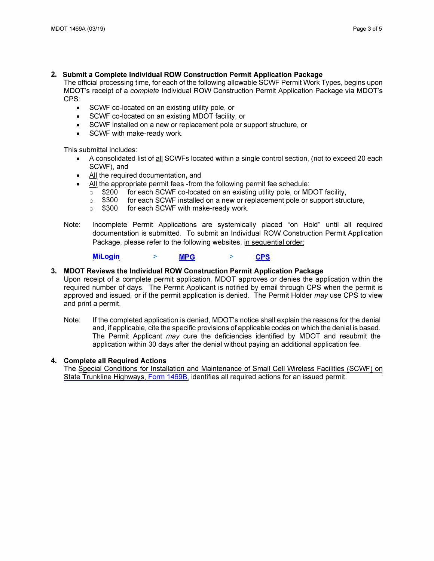## **2. Submit a Complete Individual ROW Construction Permit Application Package**

**The official processing time, for each of the following allowable SCWF Permit Work Types, begins upon MOOT's receipt of a** *complete* **Individual ROW Construction Permit Application Package via MOOT's CPS:** 

- **SCWF co-located on an existing utility pole, or**
- **SCWF co-located on an existing MOOT facility, or**
- **SCWF installed on a new or replacement pole or support structure, or**
- **SCWF with make-ready work.**

**This submittal includes:** 

- **A consolidated list of fill SCWFs located within a single control section, (not to exceed 20 each SCWF}, and**
- **All the required documentation, and**
- **All the appropriate permit fees -from the following permit fee schedule:** 
	- **o \$200 for each SCWF co-located on an existing utility pole, or MOOT facility,**
	- **o \$300 for each SCWF installed on a new or replacement pole or support structure,**
	- **o \$300 for each SCWF with make-ready work.**
- **Note: Incomplete Permit Applications are systemically placed "on Hold" until all required documentation is submitted. To submit an Individual ROW Construction Permit Application Package, please refer to the following websites, in sequential order:**

**Milogin** > > **CPS** 

### **3. MDOT Reviews the Individual ROW Construction Permit Application Package**

**Upon receipt of a complete permit application, MOOT approves or denies the application within the required number of days. The Permit Applicant is notified by email through CPS when the permit is approved and issued, or if the permit application is denied. The Permit Holder** *may* **use CPS to view and print a permit.** 

**Note: If the completed application is denied, MOOT's notice shall explain the reasons for the denial and, if applicable, cite the specific provisions of applicable codes on which the denial is based. The Permit Applicant** *may* **cure the deficiencies identified by MOOT and resubmit the application within 30 days after the denial without paying an additional application fee.** 

#### **4. Complete all Required Actions**

**The Special Conditions for Installation and Maintenance of Small Cell Wireless Facilities (SCWF) on State Trunkline Highways, Form 1469B, identifies all required actions for an issued permit.**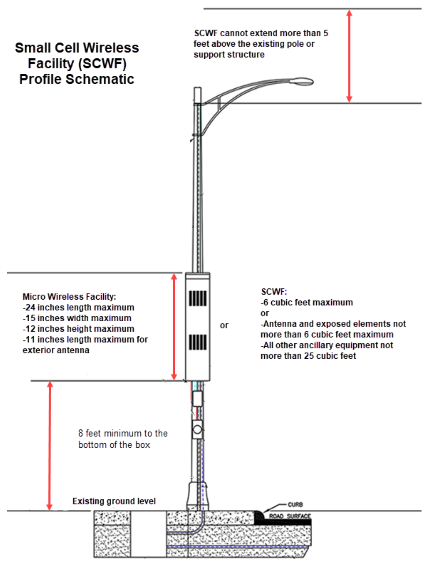